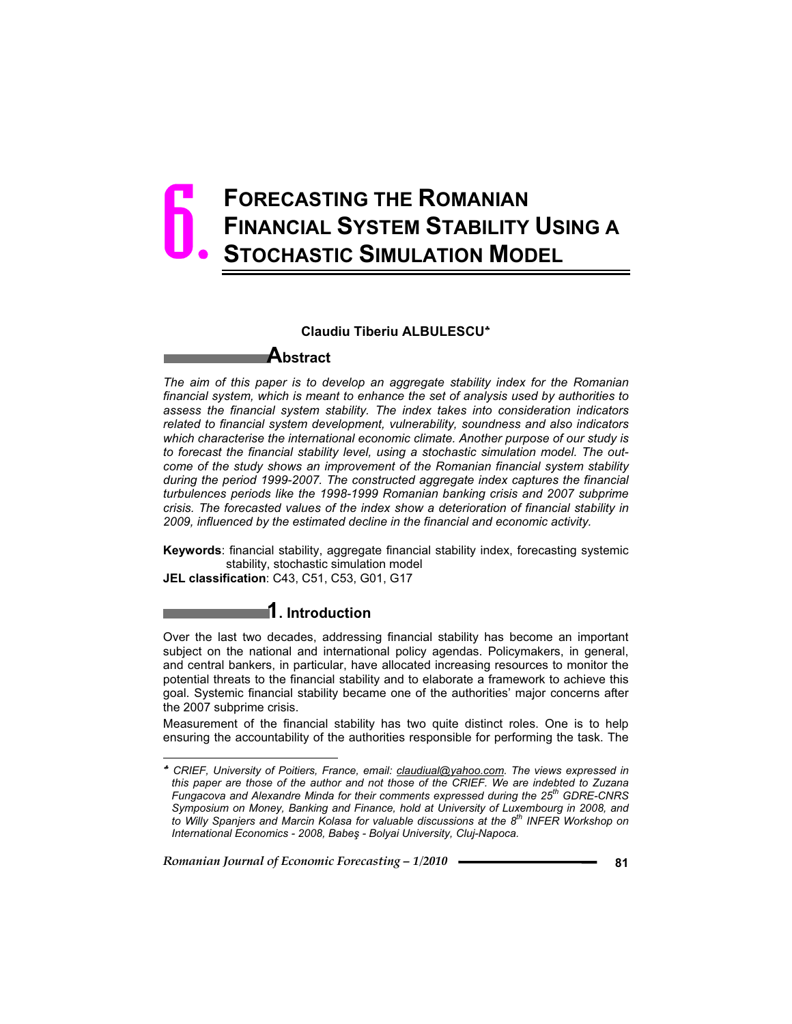# **FORECASTING THE ROMANIAN FINANCIAL SYSTEM STABILITY USING A STOCHASTIC SIMULATION MODEL** 6.

### **Claudiu Tiberiu ALBULESCU**<sup>h</sup>

### **Abstract**

*The aim of this paper is to develop an aggregate stability index for the Romanian financial system, which is meant to enhance the set of analysis used by authorities to assess the financial system stability. The index takes into consideration indicators related to financial system development, vulnerability, soundness and also indicators which characterise the international economic climate. Another purpose of our study is to forecast the financial stability level, using a stochastic simulation model. The outcome of the study shows an improvement of the Romanian financial system stability during the period 1999-2007. The constructed aggregate index captures the financial turbulences periods like the 1998-1999 Romanian banking crisis and 2007 subprime crisis. The forecasted values of the index show a deterioration of financial stability in 2009, influenced by the estimated decline in the financial and economic activity.* 

**Keywords**: financial stability, aggregate financial stability index, forecasting systemic stability, stochastic simulation model

**JEL classification**: C43, C51, C53, G01, G17

 $\overline{a}$ 

### **1. Introduction**

Over the last two decades, addressing financial stability has become an important subject on the national and international policy agendas. Policymakers, in general, and central bankers, in particular, have allocated increasing resources to monitor the potential threats to the financial stability and to elaborate a framework to achieve this goal. Systemic financial stability became one of the authorities' major concerns after the 2007 subprime crisis.

Measurement of the financial stability has two quite distinct roles. One is to help ensuring the accountability of the authorities responsible for performing the task. The

<sup>h</sup> *CRIEF, University of Poitiers, France, email: claudiual@yahoo.com. The views expressed in this paper are those of the author and not those of the CRIEF. We are indebted to Zuzana Fungacova and Alexandre Minda for their comments expressed during the 25th GDRE-CNRS Symposium on Money, Banking and Finance, hold at University of Luxembourg in 2008, and*  to Willy Spanjers and Marcin Kolasa for valuable discussions at the 8<sup>th</sup> INFER Workshop on *International Economics - 2008, Babeú - Bolyai University, Cluj-Napoca.*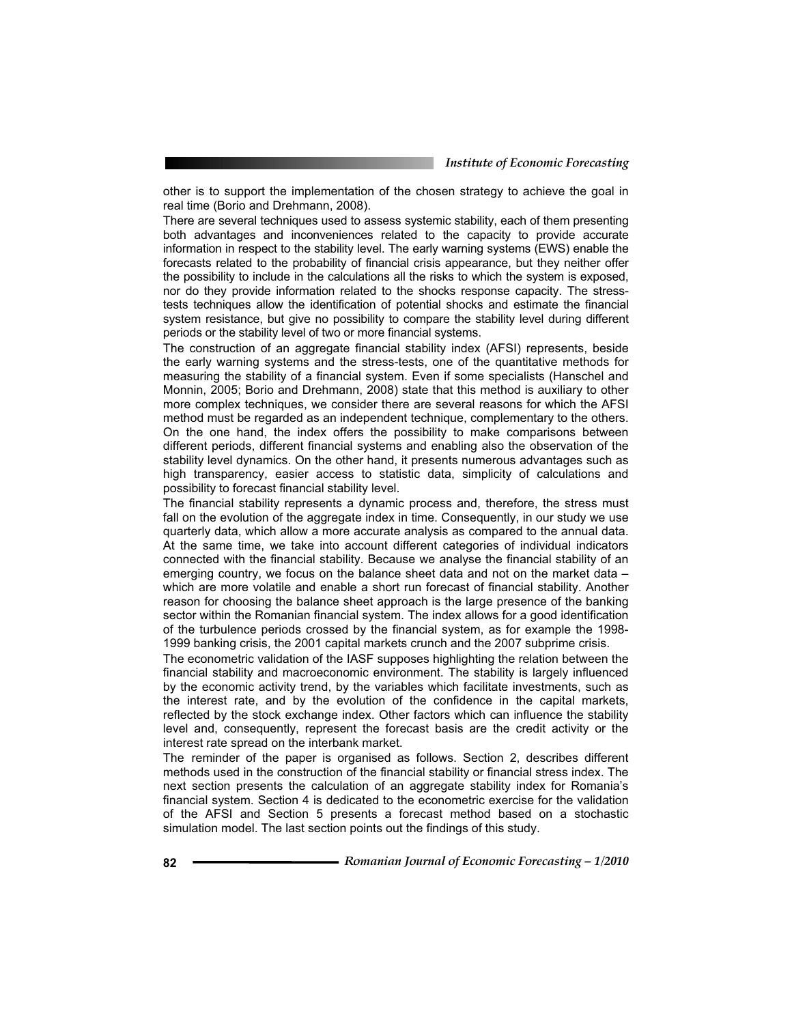*Institute of Economic Forecasting*

other is to support the implementation of the chosen strategy to achieve the goal in real time (Borio and Drehmann, 2008).

There are several techniques used to assess systemic stability, each of them presenting both advantages and inconveniences related to the capacity to provide accurate information in respect to the stability level. The early warning systems (EWS) enable the forecasts related to the probability of financial crisis appearance, but they neither offer the possibility to include in the calculations all the risks to which the system is exposed, nor do they provide information related to the shocks response capacity. The stresstests techniques allow the identification of potential shocks and estimate the financial system resistance, but give no possibility to compare the stability level during different periods or the stability level of two or more financial systems.

The construction of an aggregate financial stability index (AFSI) represents, beside the early warning systems and the stress-tests, one of the quantitative methods for measuring the stability of a financial system. Even if some specialists (Hanschel and Monnin, 2005; Borio and Drehmann, 2008) state that this method is auxiliary to other more complex techniques, we consider there are several reasons for which the AFSI method must be regarded as an independent technique, complementary to the others. On the one hand, the index offers the possibility to make comparisons between different periods, different financial systems and enabling also the observation of the stability level dynamics. On the other hand, it presents numerous advantages such as high transparency, easier access to statistic data, simplicity of calculations and possibility to forecast financial stability level.

The financial stability represents a dynamic process and, therefore, the stress must fall on the evolution of the aggregate index in time. Consequently, in our study we use quarterly data, which allow a more accurate analysis as compared to the annual data. At the same time, we take into account different categories of individual indicators connected with the financial stability. Because we analyse the financial stability of an emerging country, we focus on the balance sheet data and not on the market data – which are more volatile and enable a short run forecast of financial stability. Another reason for choosing the balance sheet approach is the large presence of the banking sector within the Romanian financial system. The index allows for a good identification of the turbulence periods crossed by the financial system, as for example the 1998- 1999 banking crisis, the 2001 capital markets crunch and the 2007 subprime crisis.

The econometric validation of the IASF supposes highlighting the relation between the financial stability and macroeconomic environment. The stability is largely influenced by the economic activity trend, by the variables which facilitate investments, such as the interest rate, and by the evolution of the confidence in the capital markets, reflected by the stock exchange index. Other factors which can influence the stability level and, consequently, represent the forecast basis are the credit activity or the interest rate spread on the interbank market.

The reminder of the paper is organised as follows. Section 2, describes different methods used in the construction of the financial stability or financial stress index. The next section presents the calculation of an aggregate stability index for Romania's financial system. Section 4 is dedicated to the econometric exercise for the validation of the AFSI and Section 5 presents a forecast method based on a stochastic simulation model. The last section points out the findings of this study.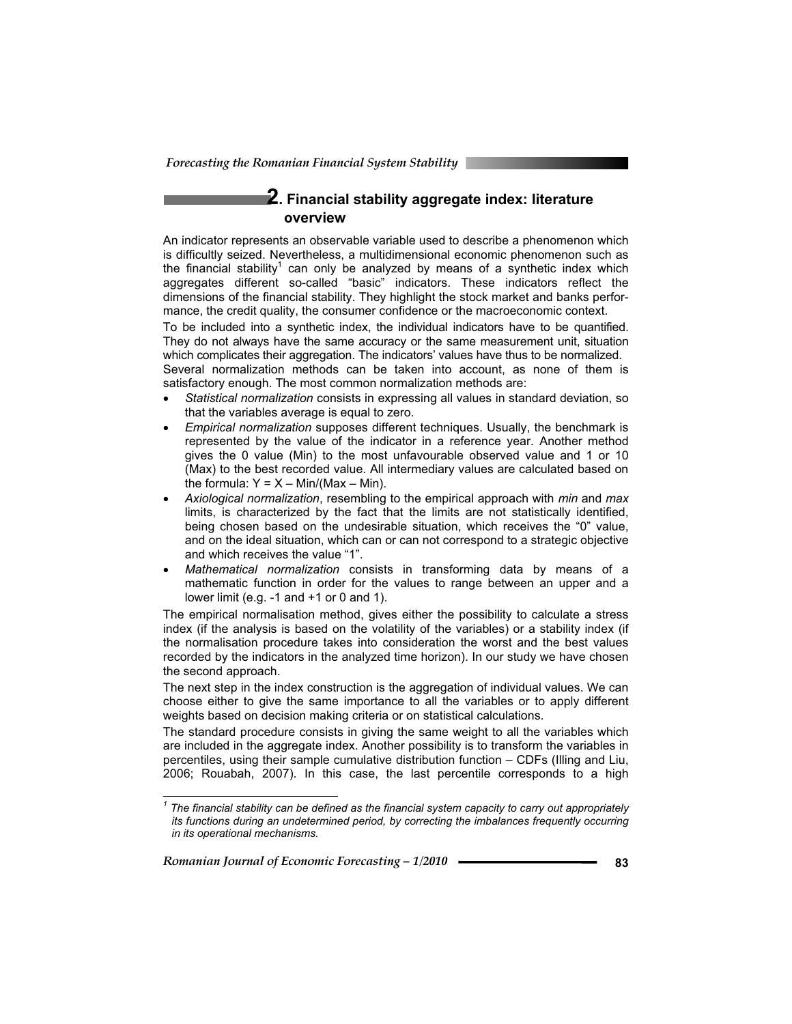# **2. Financial stability aggregate index: literature overview**

An indicator represents an observable variable used to describe a phenomenon which is difficultly seized. Nevertheless, a multidimensional economic phenomenon such as the financial stability<sup>1</sup> can only be analyzed by means of a synthetic index which aggregates different so-called "basic" indicators. These indicators reflect the dimensions of the financial stability. They highlight the stock market and banks performance, the credit quality, the consumer confidence or the macroeconomic context.

To be included into a synthetic index, the individual indicators have to be quantified. They do not always have the same accuracy or the same measurement unit, situation which complicates their aggregation. The indicators' values have thus to be normalized.

Several normalization methods can be taken into account, as none of them is satisfactory enough. The most common normalization methods are:

- **•** Statistical normalization consists in expressing all values in standard deviation, so that the variables average is equal to zero.
- **Empirical normalization supposes different techniques. Usually, the benchmark is** represented by the value of the indicator in a reference year. Another method gives the 0 value (Min) to the most unfavourable observed value and 1 or 10 (Max) to the best recorded value. All intermediary values are calculated based on the formula:  $Y = X - \text{Min/}(\text{Max} - \text{Min}).$
- x *Axiological normalization*, resembling to the empirical approach with *min* and *max* limits, is characterized by the fact that the limits are not statistically identified, being chosen based on the undesirable situation, which receives the "0" value, and on the ideal situation, which can or can not correspond to a strategic objective and which receives the value "1".
- x *Mathematical normalization* consists in transforming data by means of a mathematic function in order for the values to range between an upper and a lower limit (e.g. -1 and +1 or 0 and 1).

The empirical normalisation method, gives either the possibility to calculate a stress index (if the analysis is based on the volatility of the variables) or a stability index (if the normalisation procedure takes into consideration the worst and the best values recorded by the indicators in the analyzed time horizon). In our study we have chosen the second approach.

The next step in the index construction is the aggregation of individual values. We can choose either to give the same importance to all the variables or to apply different weights based on decision making criteria or on statistical calculations.

The standard procedure consists in giving the same weight to all the variables which are included in the aggregate index. Another possibility is to transform the variables in percentiles, using their sample cumulative distribution function – CDFs (Illing and Liu, 2006; Rouabah, 2007). In this case, the last percentile corresponds to a high

*Romanian Journal of Economic Forecasting – 1/2010* **<sup>83</sup>**

 $\overline{a}$ 

*<sup>1</sup> The financial stability can be defined as the financial system capacity to carry out appropriately its functions during an undetermined period, by correcting the imbalances frequently occurring in its operational mechanisms.*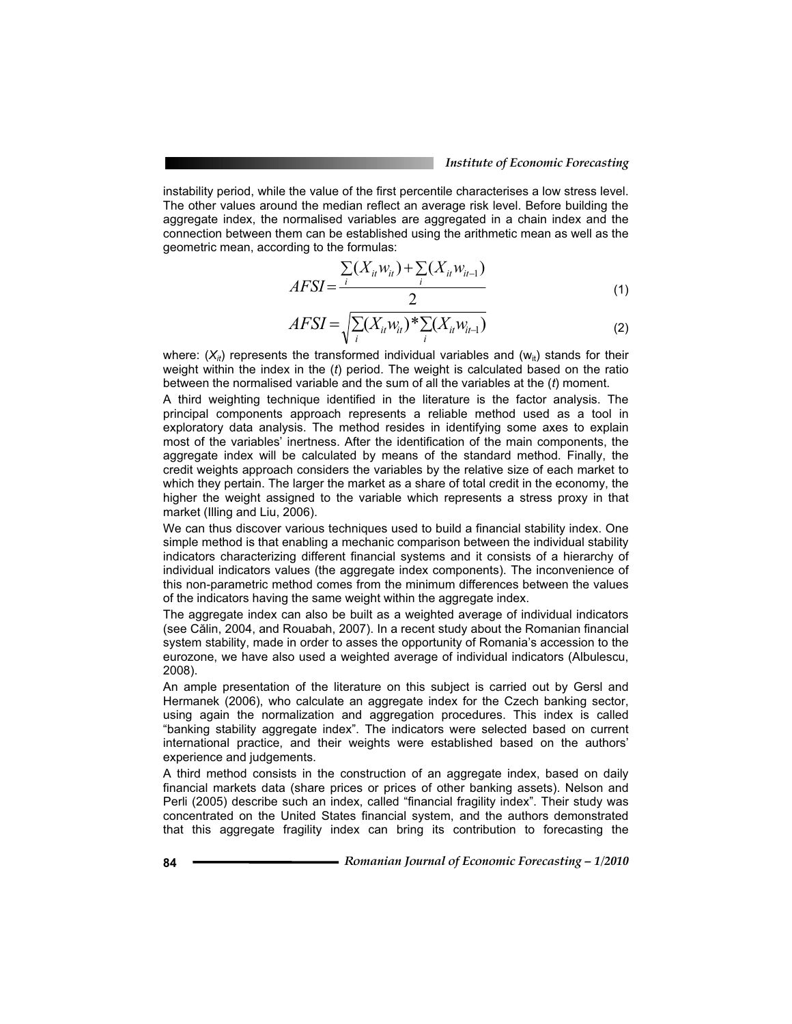instability period, while the value of the first percentile characterises a low stress level. The other values around the median reflect an average risk level. Before building the aggregate index, the normalised variables are aggregated in a chain index and the connection between them can be established using the arithmetic mean as well as the geometric mean, according to the formulas:

$$
AFSI = \frac{\sum_{i} (X_{it} w_{it}) + \sum_{i} (X_{it} w_{it-1})}{2}
$$
 (1)

$$
AFSI = \sqrt{\sum_{i} (X_{it} w_{it})^* \sum_{i} (X_{it} w_{it-1})}
$$
 (2)

where:  $(X_{ii})$  represents the transformed individual variables and ( $W_{ii}$ ) stands for their weight within the index in the (*t*) period. The weight is calculated based on the ratio between the normalised variable and the sum of all the variables at the (*t*) moment.

A third weighting technique identified in the literature is the factor analysis. The principal components approach represents a reliable method used as a tool in exploratory data analysis. The method resides in identifying some axes to explain most of the variables' inertness. After the identification of the main components, the aggregate index will be calculated by means of the standard method. Finally, the credit weights approach considers the variables by the relative size of each market to which they pertain. The larger the market as a share of total credit in the economy, the higher the weight assigned to the variable which represents a stress proxy in that market (Illing and Liu, 2006).

We can thus discover various techniques used to build a financial stability index. One simple method is that enabling a mechanic comparison between the individual stability indicators characterizing different financial systems and it consists of a hierarchy of individual indicators values (the aggregate index components). The inconvenience of this non-parametric method comes from the minimum differences between the values of the indicators having the same weight within the aggregate index.

The aggregate index can also be built as a weighted average of individual indicators (see Călin, 2004, and Rouabah, 2007). In a recent study about the Romanian financial system stability, made in order to asses the opportunity of Romania's accession to the eurozone, we have also used a weighted average of individual indicators (Albulescu, 2008).

An ample presentation of the literature on this subject is carried out by Gersl and Hermanek (2006), who calculate an aggregate index for the Czech banking sector, using again the normalization and aggregation procedures. This index is called "banking stability aggregate index". The indicators were selected based on current international practice, and their weights were established based on the authors' experience and judgements.

A third method consists in the construction of an aggregate index, based on daily financial markets data (share prices or prices of other banking assets). Nelson and Perli (2005) describe such an index, called "financial fragility index". Their study was concentrated on the United States financial system, and the authors demonstrated that this aggregate fragility index can bring its contribution to forecasting the

**<sup>84</sup>** *Romanian Journal of Economic Forecasting – 1/2010*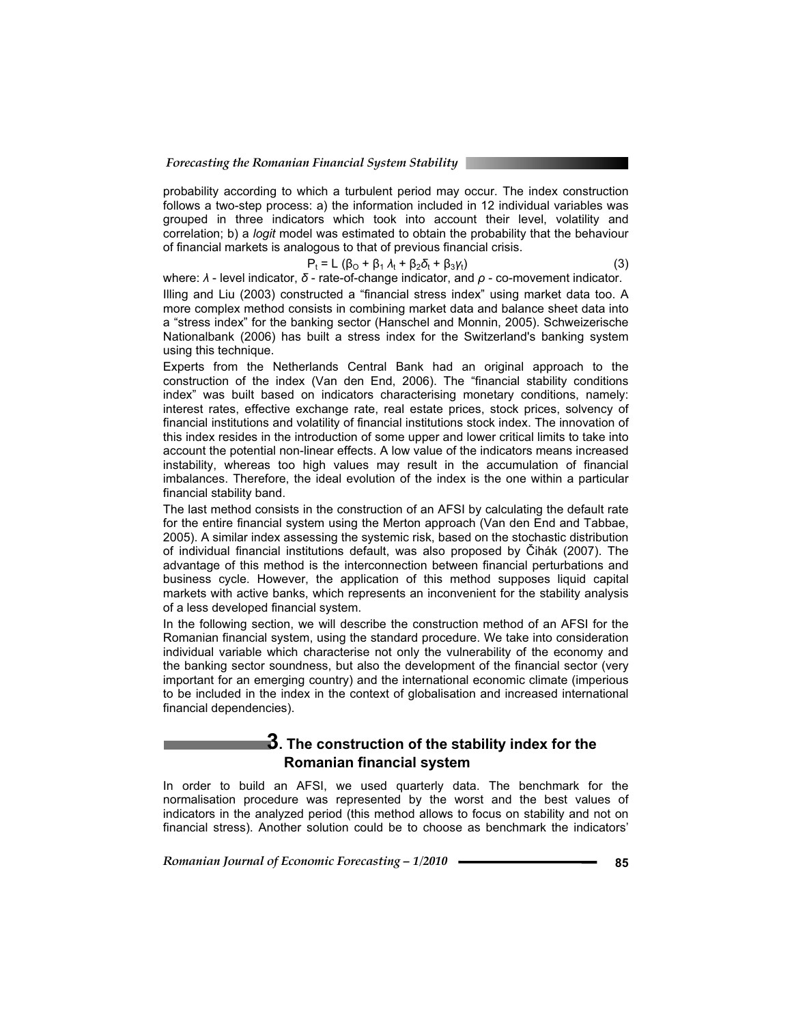probability according to which a turbulent period may occur. The index construction follows a two-step process: a) the information included in 12 individual variables was grouped in three indicators which took into account their level, volatility and correlation; b) a *logit* model was estimated to obtain the probability that the behaviour of financial markets is analogous to that of previous financial crisis.

$$
P_t = L (\beta_0 + \beta_1 \lambda_t + \beta_2 \delta_t + \beta_3 \gamma_t)
$$
 (3)

where: *λ* - level indicator, *δ* - rate-of-change indicator, and *ρ* - co-movement indicator. Illing and Liu (2003) constructed a "financial stress index" using market data too. A more complex method consists in combining market data and balance sheet data into a "stress index" for the banking sector (Hanschel and Monnin, 2005). Schweizerische Nationalbank (2006) has built a stress index for the Switzerland's banking system using this technique.

Experts from the Netherlands Central Bank had an original approach to the construction of the index (Van den End, 2006). The "financial stability conditions index" was built based on indicators characterising monetary conditions, namely: interest rates, effective exchange rate, real estate prices, stock prices, solvency of financial institutions and volatility of financial institutions stock index. The innovation of this index resides in the introduction of some upper and lower critical limits to take into account the potential non-linear effects. A low value of the indicators means increased instability, whereas too high values may result in the accumulation of financial imbalances. Therefore, the ideal evolution of the index is the one within a particular financial stability band.

The last method consists in the construction of an AFSI by calculating the default rate for the entire financial system using the Merton approach (Van den End and Tabbae, 2005). A similar index assessing the systemic risk, based on the stochastic distribution of individual financial institutions default, was also proposed by Čihák (2007). The advantage of this method is the interconnection between financial perturbations and business cycle. However, the application of this method supposes liquid capital markets with active banks, which represents an inconvenient for the stability analysis of a less developed financial system.

In the following section, we will describe the construction method of an AFSI for the Romanian financial system, using the standard procedure. We take into consideration individual variable which characterise not only the vulnerability of the economy and the banking sector soundness, but also the development of the financial sector (very important for an emerging country) and the international economic climate (imperious to be included in the index in the context of globalisation and increased international financial dependencies).

# **3. The construction of the stability index for the Romanian financial system**

In order to build an AFSI, we used quarterly data. The benchmark for the normalisation procedure was represented by the worst and the best values of indicators in the analyzed period (this method allows to focus on stability and not on financial stress). Another solution could be to choose as benchmark the indicators'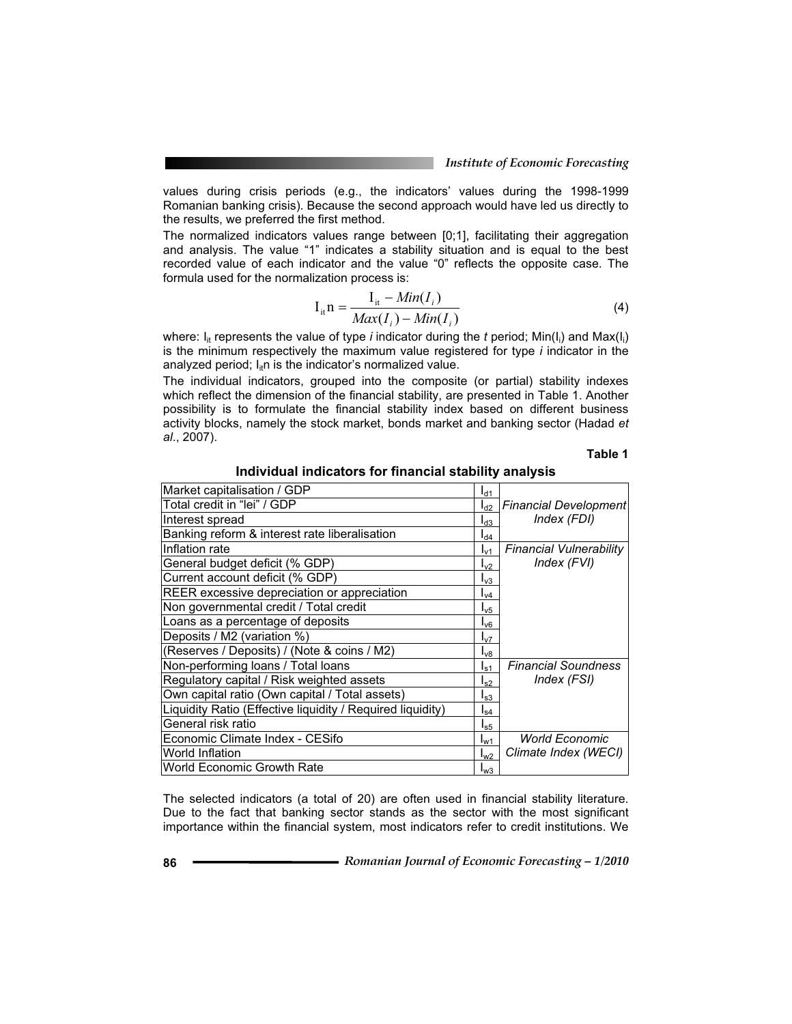values during crisis periods (e.g., the indicators' values during the 1998-1999 Romanian banking crisis). Because the second approach would have led us directly to the results, we preferred the first method.

The normalized indicators values range between [0;1], facilitating their aggregation and analysis. The value "1" indicates a stability situation and is equal to the best recorded value of each indicator and the value "0" reflects the opposite case. The formula used for the normalization process is:

$$
I_{it} = \frac{I_{it} - Min(I_i)}{Max(I_i) - Min(I_i)}
$$
(4)

where: I<sub>it</sub> represents the value of type *i* indicator during the *t* period; Min(I<sub>i</sub>) and Max(I<sub>i</sub>) is the minimum respectively the maximum value registered for type *i* indicator in the analyzed period;  $I_{\text{if}}$  is the indicator's normalized value.

The individual indicators, grouped into the composite (or partial) stability indexes which reflect the dimension of the financial stability, are presented in Table 1. Another possibility is to formulate the financial stability index based on different business activity blocks, namely the stock market, bonds market and banking sector (Hadad *et al*., 2007).

### **Table 1**

| Market capitalisation / GDP                                | $I_{d1}$          |                                |  |  |
|------------------------------------------------------------|-------------------|--------------------------------|--|--|
| Total credit in "lei" / GDP                                | $I_{d2}$          | <b>Financial Development</b>   |  |  |
| Interest spread                                            | $I_{d3}$          | Index (FDI)                    |  |  |
| Banking reform & interest rate liberalisation              | $I_{d4}$          |                                |  |  |
| Inflation rate                                             | $I_{V1}$          | <b>Financial Vulnerability</b> |  |  |
| General budget deficit (% GDP)                             | $I_{v2}$          | Index (FVI)                    |  |  |
| Current account deficit (% GDP)                            | $I_{\nu 3}$       |                                |  |  |
| REER excessive depreciation or appreciation                | $I_{\nu 4}$       |                                |  |  |
| Non governmental credit / Total credit                     | $I_{\nu 5}$       |                                |  |  |
| Loans as a percentage of deposits                          | $I_{\mathsf{V}6}$ |                                |  |  |
| Deposits / M2 (variation %)                                | $I_{\nu7}$        |                                |  |  |
| (Reserves / Deposits) / (Note & coins / M2)                | $I_{\nu8}$        |                                |  |  |
| Non-performing loans / Total loans                         | $I_{\rm s1}$      | <b>Financial Soundness</b>     |  |  |
| Regulatory capital / Risk weighted assets                  | $I_{s2}$          | Index (FSI)                    |  |  |
| Own capital ratio (Own capital / Total assets)             | $I_{\rm s3}$      |                                |  |  |
| Liquidity Ratio (Effective liquidity / Required liquidity) | $I_{\text{S}4}$   |                                |  |  |
| General risk ratio                                         | $I_{S5}$          |                                |  |  |
| Economic Climate Index - CESifo                            | $I_{w1}$          | <b>World Economic</b>          |  |  |
| World Inflation                                            | $I_{W2}$          | Climate Index (WECI)           |  |  |
| World Economic Growth Rate                                 | $I_{\rm W3}$      |                                |  |  |
|                                                            |                   |                                |  |  |

**Individual indicators for financial stability analysis** 

The selected indicators (a total of 20) are often used in financial stability literature. Due to the fact that banking sector stands as the sector with the most significant importance within the financial system, most indicators refer to credit institutions. We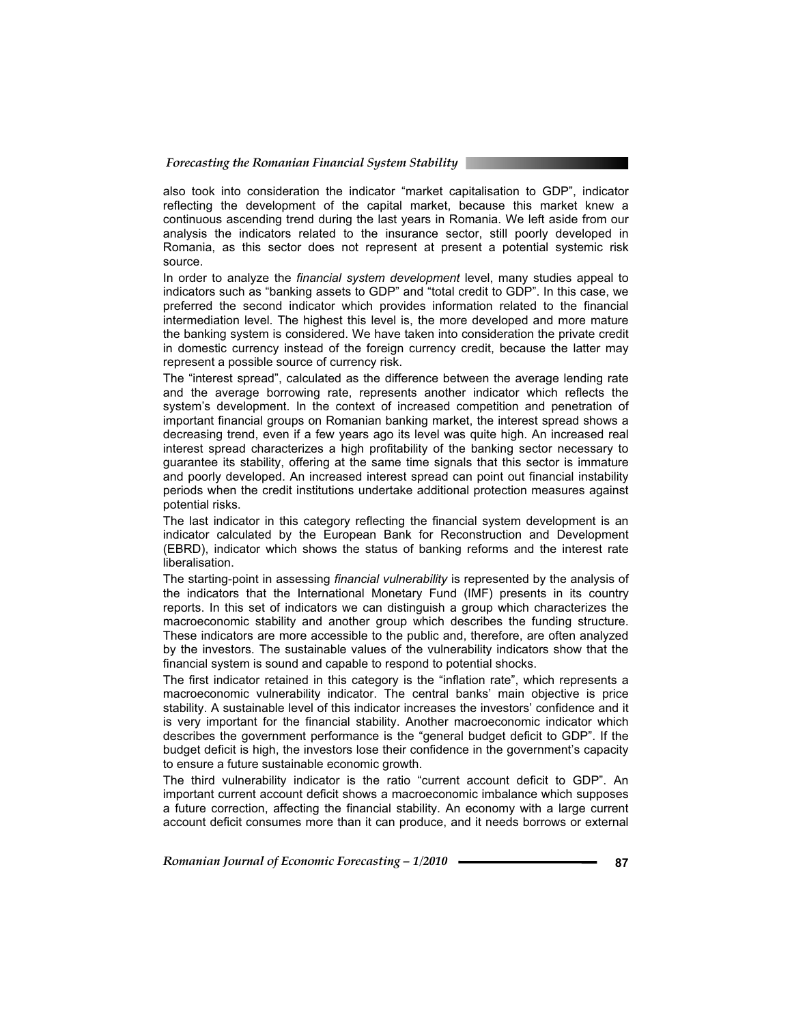#### *Forecasting the Romanian Financial System Stability*

also took into consideration the indicator "market capitalisation to GDP", indicator reflecting the development of the capital market, because this market knew a continuous ascending trend during the last years in Romania. We left aside from our analysis the indicators related to the insurance sector, still poorly developed in Romania, as this sector does not represent at present a potential systemic risk source.

In order to analyze the *financial system development* level, many studies appeal to indicators such as "banking assets to GDP" and "total credit to GDP". In this case, we preferred the second indicator which provides information related to the financial intermediation level. The highest this level is, the more developed and more mature the banking system is considered. We have taken into consideration the private credit in domestic currency instead of the foreign currency credit, because the latter may represent a possible source of currency risk.

The "interest spread", calculated as the difference between the average lending rate and the average borrowing rate, represents another indicator which reflects the system's development. In the context of increased competition and penetration of important financial groups on Romanian banking market, the interest spread shows a decreasing trend, even if a few years ago its level was quite high. An increased real interest spread characterizes a high profitability of the banking sector necessary to guarantee its stability, offering at the same time signals that this sector is immature and poorly developed. An increased interest spread can point out financial instability periods when the credit institutions undertake additional protection measures against potential risks.

The last indicator in this category reflecting the financial system development is an indicator calculated by the European Bank for Reconstruction and Development (EBRD), indicator which shows the status of banking reforms and the interest rate liberalisation.

The starting-point in assessing *financial vulnerability* is represented by the analysis of the indicators that the International Monetary Fund (IMF) presents in its country reports. In this set of indicators we can distinguish a group which characterizes the macroeconomic stability and another group which describes the funding structure. These indicators are more accessible to the public and, therefore, are often analyzed by the investors. The sustainable values of the vulnerability indicators show that the financial system is sound and capable to respond to potential shocks.

The first indicator retained in this category is the "inflation rate", which represents a macroeconomic vulnerability indicator. The central banks' main objective is price stability. A sustainable level of this indicator increases the investors' confidence and it is very important for the financial stability. Another macroeconomic indicator which describes the government performance is the "general budget deficit to GDP". If the budget deficit is high, the investors lose their confidence in the government's capacity to ensure a future sustainable economic growth.

The third vulnerability indicator is the ratio "current account deficit to GDP". An important current account deficit shows a macroeconomic imbalance which supposes a future correction, affecting the financial stability. An economy with a large current account deficit consumes more than it can produce, and it needs borrows or external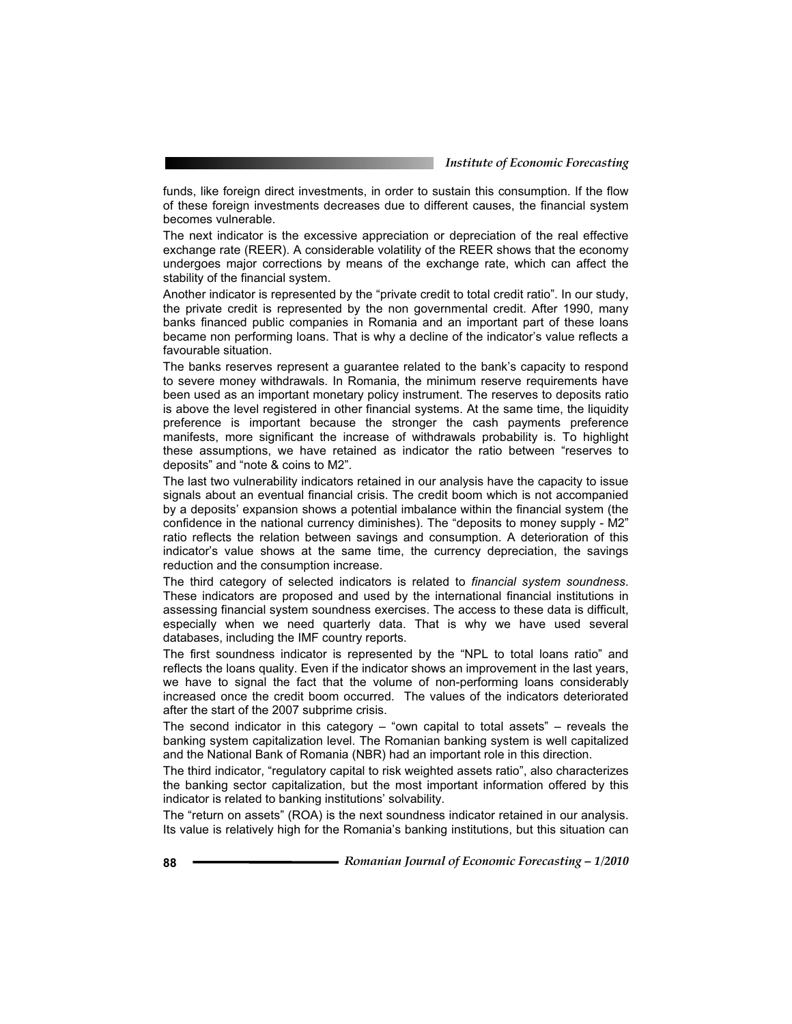funds, like foreign direct investments, in order to sustain this consumption. If the flow of these foreign investments decreases due to different causes, the financial system becomes vulnerable.

The next indicator is the excessive appreciation or depreciation of the real effective exchange rate (REER). A considerable volatility of the REER shows that the economy undergoes major corrections by means of the exchange rate, which can affect the stability of the financial system.

Another indicator is represented by the "private credit to total credit ratio". In our study, the private credit is represented by the non governmental credit. After 1990, many banks financed public companies in Romania and an important part of these loans became non performing loans. That is why a decline of the indicator's value reflects a favourable situation.

The banks reserves represent a guarantee related to the bank's capacity to respond to severe money withdrawals. In Romania, the minimum reserve requirements have been used as an important monetary policy instrument. The reserves to deposits ratio is above the level registered in other financial systems. At the same time, the liquidity preference is important because the stronger the cash payments preference manifests, more significant the increase of withdrawals probability is. To highlight these assumptions, we have retained as indicator the ratio between "reserves to deposits" and "note & coins to M2".

The last two vulnerability indicators retained in our analysis have the capacity to issue signals about an eventual financial crisis. The credit boom which is not accompanied by a deposits' expansion shows a potential imbalance within the financial system (the confidence in the national currency diminishes). The "deposits to money supply - M2" ratio reflects the relation between savings and consumption. A deterioration of this indicator's value shows at the same time, the currency depreciation, the savings reduction and the consumption increase.

The third category of selected indicators is related to *financial system soundness*. These indicators are proposed and used by the international financial institutions in assessing financial system soundness exercises. The access to these data is difficult, especially when we need quarterly data. That is why we have used several databases, including the IMF country reports.

The first soundness indicator is represented by the "NPL to total loans ratio" and reflects the loans quality. Even if the indicator shows an improvement in the last years, we have to signal the fact that the volume of non-performing loans considerably increased once the credit boom occurred. The values of the indicators deteriorated after the start of the 2007 subprime crisis.

The second indicator in this category  $-$  "own capital to total assets"  $-$  reveals the banking system capitalization level. The Romanian banking system is well capitalized and the National Bank of Romania (NBR) had an important role in this direction.

The third indicator, "regulatory capital to risk weighted assets ratio", also characterizes the banking sector capitalization, but the most important information offered by this indicator is related to banking institutions' solvability.

The "return on assets" (ROA) is the next soundness indicator retained in our analysis. Its value is relatively high for the Romania's banking institutions, but this situation can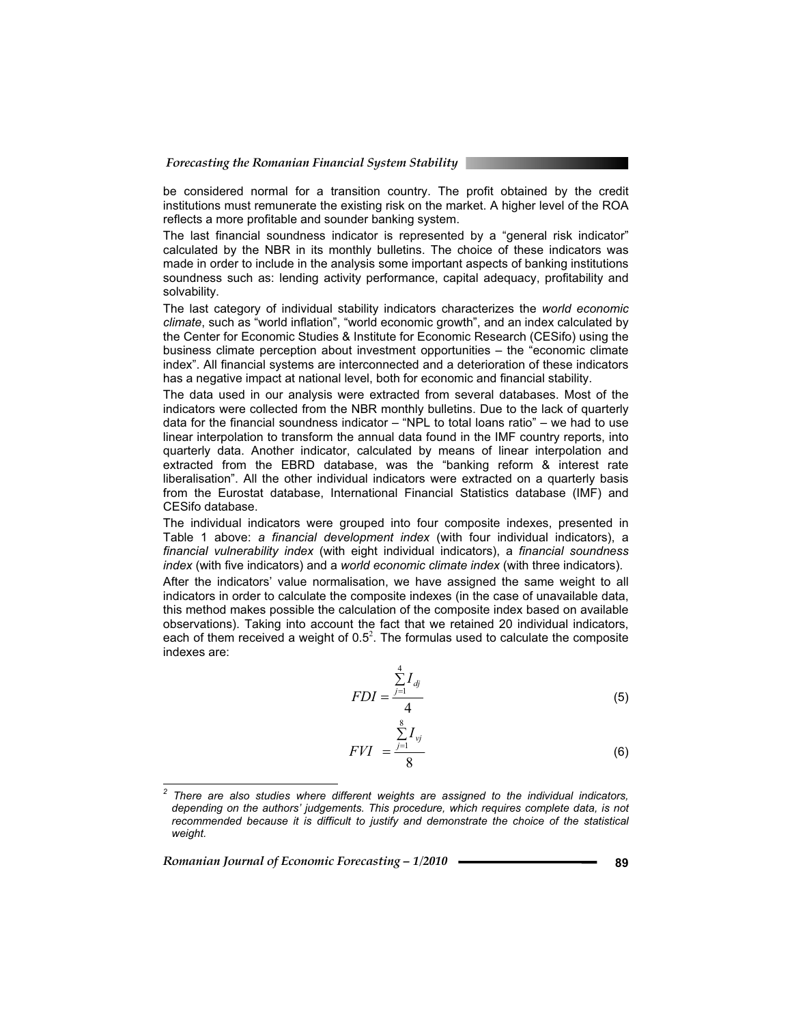be considered normal for a transition country. The profit obtained by the credit institutions must remunerate the existing risk on the market. A higher level of the ROA reflects a more profitable and sounder banking system.

The last financial soundness indicator is represented by a "general risk indicator" calculated by the NBR in its monthly bulletins. The choice of these indicators was made in order to include in the analysis some important aspects of banking institutions soundness such as: lending activity performance, capital adequacy, profitability and solvability.

The last category of individual stability indicators characterizes the *world economic climate*, such as "world inflation", "world economic growth", and an index calculated by the Center for Economic Studies & Institute for Economic Research (CESifo) using the business climate perception about investment opportunities – the "economic climate index". All financial systems are interconnected and a deterioration of these indicators has a negative impact at national level, both for economic and financial stability.

The data used in our analysis were extracted from several databases. Most of the indicators were collected from the NBR monthly bulletins. Due to the lack of quarterly data for the financial soundness indicator  $-$  "NPL to total loans ratio"  $-$  we had to use linear interpolation to transform the annual data found in the IMF country reports, into quarterly data. Another indicator, calculated by means of linear interpolation and extracted from the EBRD database, was the "banking reform & interest rate liberalisation". All the other individual indicators were extracted on a quarterly basis from the Eurostat database, International Financial Statistics database (IMF) and CESifo database.

The individual indicators were grouped into four composite indexes, presented in Table 1 above: *a financial development index* (with four individual indicators), a *financial vulnerability index* (with eight individual indicators), a *financial soundness index* (with five indicators) and a *world economic climate index* (with three indicators).

After the indicators' value normalisation, we have assigned the same weight to all indicators in order to calculate the composite indexes (in the case of unavailable data, this method makes possible the calculation of the composite index based on available observations). Taking into account the fact that we retained 20 individual indicators, each of them received a weight of  $0.5<sup>2</sup>$ . The formulas used to calculate the composite indexes are:

$$
FDI = \frac{\sum_{j=1}^{4} I_{dj}}{4} \tag{5}
$$

$$
FVI = \frac{\sum_{j=1}^{8} I_{vj}}{8}
$$
 (6)

*Romanian Journal of Economic Forecasting – 1/2010* **<sup>89</sup>**

 $\overline{a}$ 

*<sup>2</sup> There are also studies where different weights are assigned to the individual indicators, depending on the authors' judgements. This procedure, which requires complete data, is not*  recommended because it is difficult to justify and demonstrate the choice of the statistical *weight.*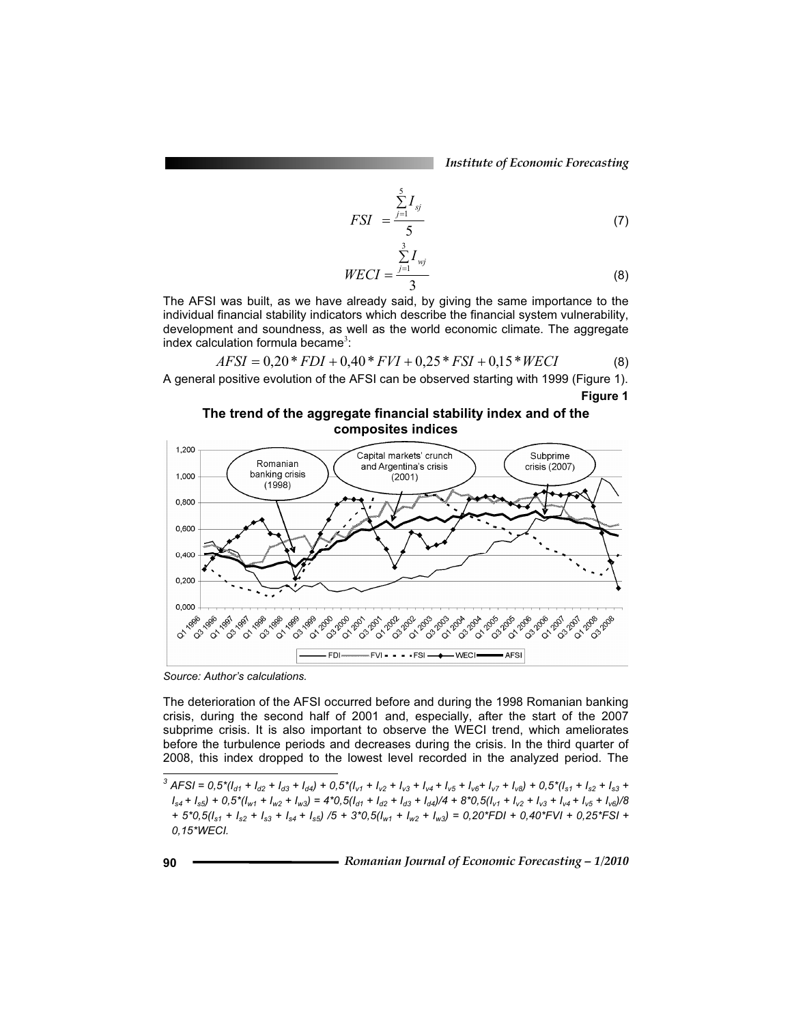*Institute of Economic Forecasting*

$$
FSI = \frac{\sum_{j=1}^{5} I_{sj}}{5} \tag{7}
$$

$$
WECI = \frac{\sum_{j=1}^{3} I_{wj}}{3}
$$
 (8)

The AFSI was built, as we have already said, by giving the same importance to the individual financial stability indicators which describe the financial system vulnerability, development and soundness, as well as the world economic climate. The aggregate  $index$  calculation formula became<sup>3</sup>:

$$
AFSI = 0,20*FDI + 0,40*FVI + 0,25*FSI + 0,15*WECI
$$
 (8)

A general positive evolution of the AFSI can be observed starting with 1999 (Figure 1). **Figure 1** 

**The trend of the aggregate financial stability index and of the composites indices** 



*Source: Author's calculations.* 

The deterioration of the AFSI occurred before and during the 1998 Romanian banking crisis, during the second half of 2001 and, especially, after the start of the 2007 subprime crisis. It is also important to observe the WECI trend, which ameliorates before the turbulence periods and decreases during the crisis. In the third quarter of 2008, this index dropped to the lowest level recorded in the analyzed period. The  $\overline{a}$ 

<sup>&</sup>lt;sup>3</sup> AFSI =  $0.5*(I_{d1} + I_{d2} + I_{d3} + I_{d4}) + 0.5*(I_{v1} + I_{v2} + I_{v3} + I_{v4} + I_{v5} + I_{v6} + I_{v7} + I_{v8}) + 0.5*(I_{s1} + I_{s2} + I_{s3} + I_{v4} + I_{v5} + I_{v6} + I_{v7} + I_{v8})$  $I_{s4} + I_{s5}$ ) + 0,5\*( $I_{w1}$  +  $I_{w2}$  +  $I_{w3}$ ) = 4\*0,5( $I_{d1}$  +  $I_{d2}$  +  $I_{d3}$  +  $I_{d4}$ )/4 + 8\*0,5( $I_{v1}$  +  $I_{v2}$  +  $I_{v3}$  +  $I_{v4}$  +  $I_{v5}$  +  $I_{v6}$ )/8 *+ 5\*0,5(Is1 + Is2 + Is3 + Is4 + Is5) /5 + 3\*0,5(Iw1 + Iw2 + Iw3) = 0,20\*FDI + 0,40\*FVI + 0,25\*FSI + 0,15\*WECI.*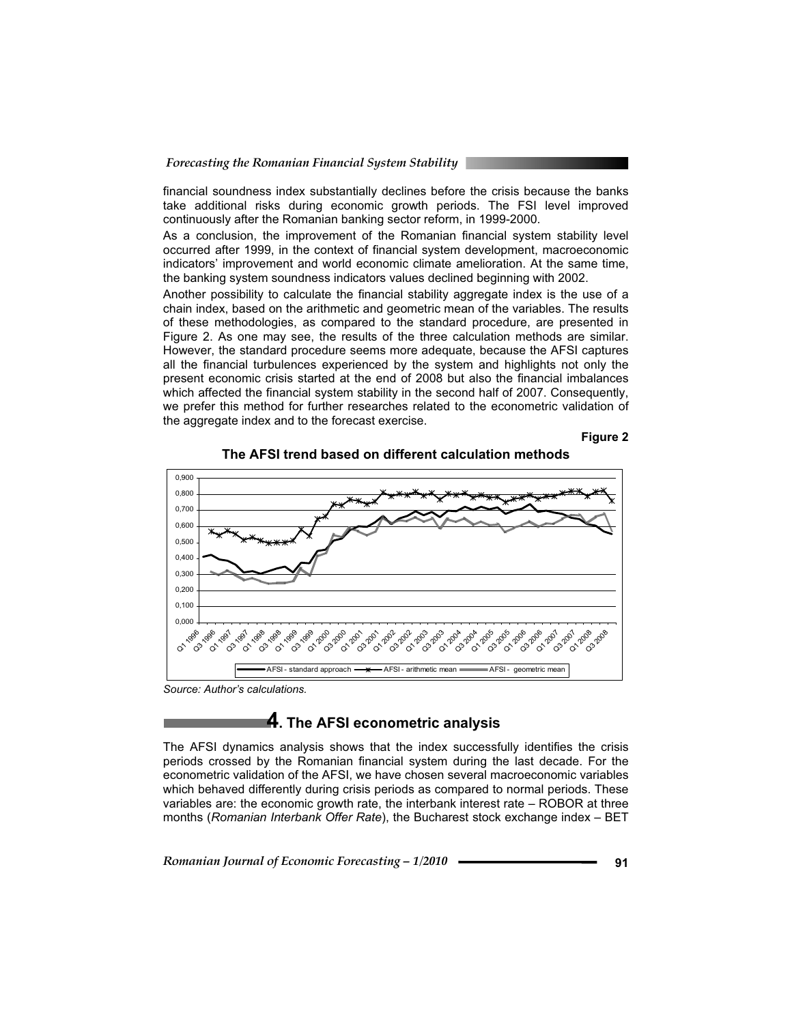financial soundness index substantially declines before the crisis because the banks take additional risks during economic growth periods. The FSI level improved continuously after the Romanian banking sector reform, in 1999-2000.

As a conclusion, the improvement of the Romanian financial system stability level occurred after 1999, in the context of financial system development, macroeconomic indicators' improvement and world economic climate amelioration. At the same time, the banking system soundness indicators values declined beginning with 2002.

Another possibility to calculate the financial stability aggregate index is the use of a chain index, based on the arithmetic and geometric mean of the variables. The results of these methodologies, as compared to the standard procedure, are presented in Figure 2. As one may see, the results of the three calculation methods are similar. However, the standard procedure seems more adequate, because the AFSI captures all the financial turbulences experienced by the system and highlights not only the present economic crisis started at the end of 2008 but also the financial imbalances which affected the financial system stability in the second half of 2007. Consequently, we prefer this method for further researches related to the econometric validation of the aggregate index and to the forecast exercise.





**The AFSI trend based on different calculation methods**

*Source: Author's calculations.* 

# **4. The AFSI econometric analysis**

The AFSI dynamics analysis shows that the index successfully identifies the crisis periods crossed by the Romanian financial system during the last decade. For the econometric validation of the AFSI, we have chosen several macroeconomic variables which behaved differently during crisis periods as compared to normal periods. These variables are: the economic growth rate, the interbank interest rate – ROBOR at three months (*Romanian Interbank Offer Rate*), the Bucharest stock exchange index – BET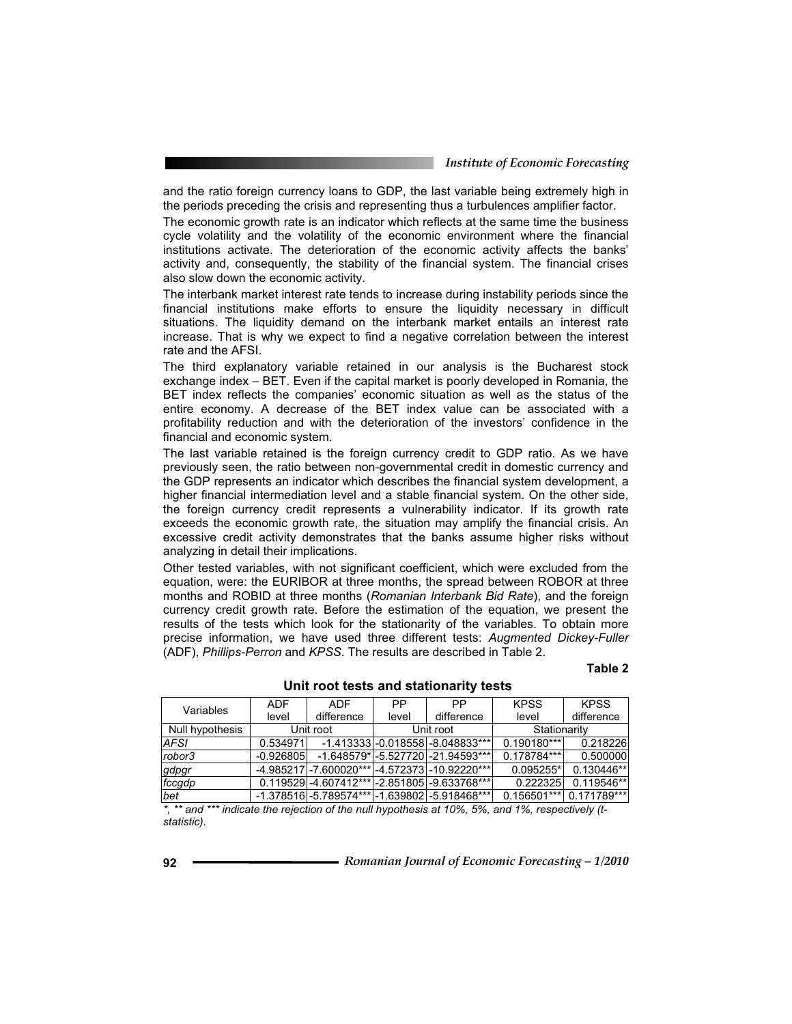and the ratio foreign currency loans to GDP, the last variable being extremely high in the periods preceding the crisis and representing thus a turbulences amplifier factor.

The economic growth rate is an indicator which reflects at the same time the business cycle volatility and the volatility of the economic environment where the financial institutions activate. The deterioration of the economic activity affects the banks' activity and, consequently, the stability of the financial system. The financial crises also slow down the economic activity.

The interbank market interest rate tends to increase during instability periods since the financial institutions make efforts to ensure the liquidity necessary in difficult situations. The liquidity demand on the interbank market entails an interest rate increase. That is why we expect to find a negative correlation between the interest rate and the AFSI.

The third explanatory variable retained in our analysis is the Bucharest stock exchange index – BET. Even if the capital market is poorly developed in Romania, the BET index reflects the companies' economic situation as well as the status of the entire economy. A decrease of the BET index value can be associated with a profitability reduction and with the deterioration of the investors' confidence in the financial and economic system.

The last variable retained is the foreign currency credit to GDP ratio. As we have previously seen, the ratio between non-governmental credit in domestic currency and the GDP represents an indicator which describes the financial system development, a higher financial intermediation level and a stable financial system. On the other side, the foreign currency credit represents a vulnerability indicator. If its growth rate exceeds the economic growth rate, the situation may amplify the financial crisis. An excessive credit activity demonstrates that the banks assume higher risks without analyzing in detail their implications.

Other tested variables, with not significant coefficient, which were excluded from the equation, were: the EURIBOR at three months, the spread between ROBOR at three months and ROBID at three months (*Romanian Interbank Bid Rate*), and the foreign currency credit growth rate. Before the estimation of the equation, we present the results of the tests which look for the stationarity of the variables. To obtain more precise information, we have used three different tests: *Augmented Dickey-Fuller* (ADF), *Phillips-Perron* and *KPSS*. The results are described in Table 2.

#### **Table 2**

| Variables       | <b>ADF</b>  | <b>ADF</b> | PP        | <b>PP</b>                                             | <b>KPSS</b>   | <b>KPSS</b>   |  |
|-----------------|-------------|------------|-----------|-------------------------------------------------------|---------------|---------------|--|
|                 | level       | difference | level     | difference                                            | level         | difference    |  |
| Null hypothesis | Unit root   |            | Unit root |                                                       | Stationarity  |               |  |
| AFSI.           | 0.534971    |            |           | -1.413333 -0.018558 -8.048833***                      | $0.190180***$ | 0.218226      |  |
| robor3          | $-0.926805$ |            |           | -1.648579* -5.527720 -21.94593***                     | $0.178784***$ | 0.500000      |  |
| gdpgr           |             |            |           | $-4.985217$ -7.600020*** $-4.572373$ -10.92220***     | $0.095255*$   | $0.130446**$  |  |
| fccgdp          |             |            |           | $0.119529$ -4.607412*** -2.851805 -9.633768***        | 0.222325      | 0.119546**    |  |
| bet             |             |            |           | $-1.378516$ $-5.789574***$ $-1.639802$ $-5.918468***$ | $0.156501***$ | $0.171789***$ |  |

### **Unit root tests and stationarity tests**

*\*, \*\* and \*\*\* indicate the rejection of the null hypothesis at 10%, 5%, and 1%, respectively (tstatistic).*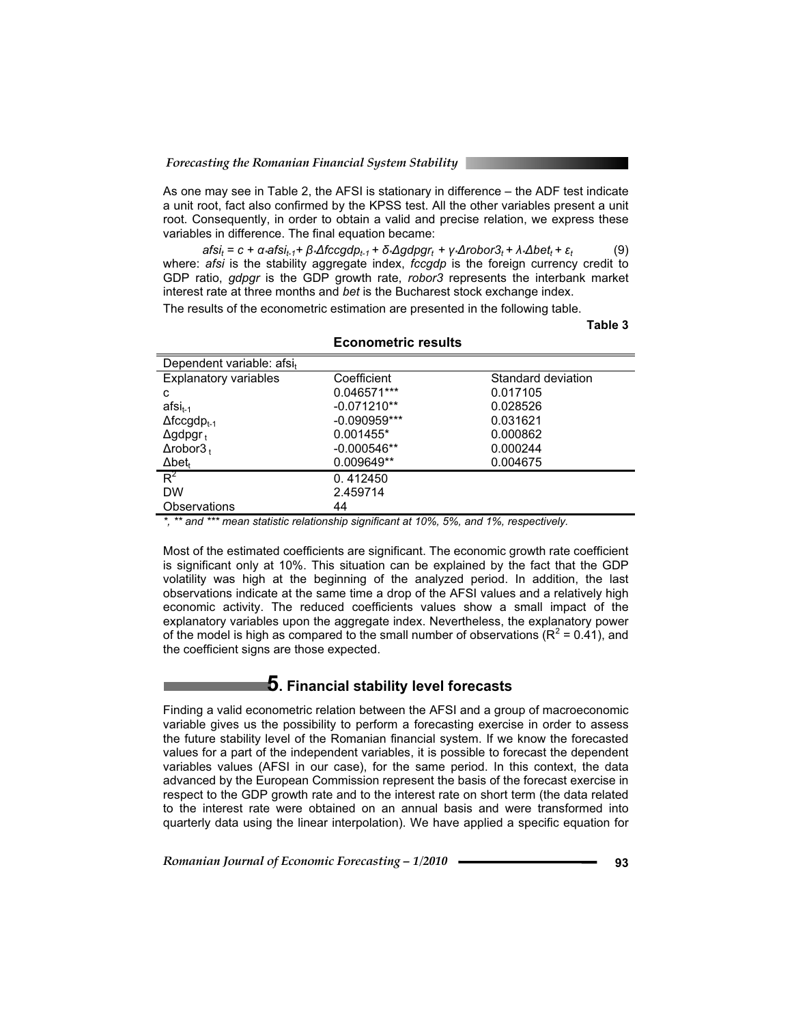As one may see in Table 2, the AFSI is stationary in difference – the ADF test indicate a unit root, fact also confirmed by the KPSS test. All the other variables present a unit root. Consequently, in order to obtain a valid and precise relation, we express these variables in difference. The final equation became:

 $afsi_t = c + \alpha \cdot afsi_{t-1} + \beta \cdot \Delta fccgdp_{t-1} + \delta \cdot \Delta gdpgr_t + \gamma \cdot \Delta robor3_t + \lambda \cdot \Delta bet_t + \varepsilon_t$  (9) where: *afsi* is the stability aggregate index, *fccgdp* is the foreign currency credit to GDP ratio, *gdpgr* is the GDP growth rate, *robor3* represents the interbank market interest rate at three months and *bet* is the Bucharest stock exchange index.

The results of the econometric estimation are presented in the following table.

**Table 3** 

| Dependent variable: afsit      |                |                    |
|--------------------------------|----------------|--------------------|
| <b>Explanatory variables</b>   | Coefficient    | Standard deviation |
| c                              | 0.046571***    | 0.017105           |
| $afsi_{t-1}$                   | $-0.071210**$  | 0.028526           |
| $\Delta$ fccgdp <sub>t-1</sub> | $-0.090959***$ | 0.031621           |
| $\Delta$ gdpgr <sub>t</sub>    | 0.001455*      | 0.000862           |
| $\Delta$ robor $3_{+}$         | $-0.000546**$  | 0.000244           |
| $\Delta$ bet <sub>t</sub>      | 0.009649**     | 0.004675           |
| $R^2$                          | 0.412450       |                    |
| <b>DW</b>                      | 2.459714       |                    |
| Observations                   | 44             |                    |

#### **Econometric results**

*\*, \*\* and \*\*\* mean statistic relationship significant at 10%, 5%, and 1%, respectively.* 

Most of the estimated coefficients are significant. The economic growth rate coefficient is significant only at 10%. This situation can be explained by the fact that the GDP volatility was high at the beginning of the analyzed period. In addition, the last observations indicate at the same time a drop of the AFSI values and a relatively high economic activity. The reduced coefficients values show a small impact of the explanatory variables upon the aggregate index. Nevertheless, the explanatory power of the model is high as compared to the small number of observations ( $R^2$  = 0.41), and the coefficient signs are those expected.

### **5. Financial stability level forecasts**

Finding a valid econometric relation between the AFSI and a group of macroeconomic variable gives us the possibility to perform a forecasting exercise in order to assess the future stability level of the Romanian financial system. If we know the forecasted values for a part of the independent variables, it is possible to forecast the dependent variables values (AFSI in our case), for the same period. In this context, the data advanced by the European Commission represent the basis of the forecast exercise in respect to the GDP growth rate and to the interest rate on short term (the data related to the interest rate were obtained on an annual basis and were transformed into quarterly data using the linear interpolation). We have applied a specific equation for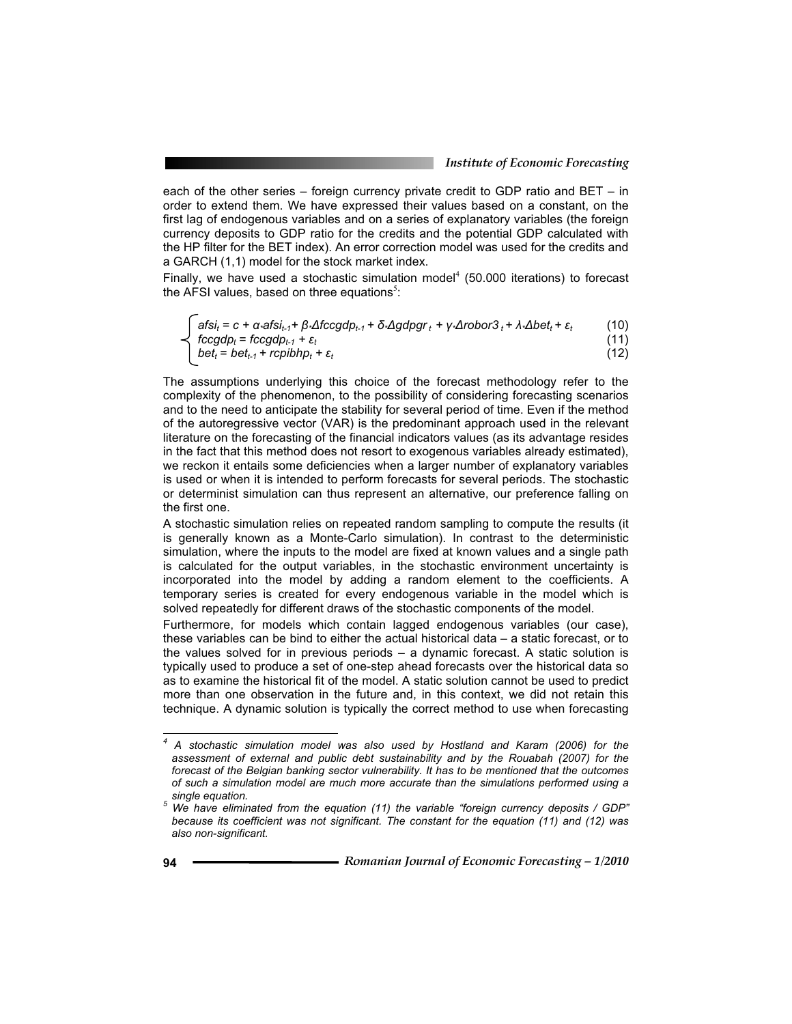each of the other series – foreign currency private credit to GDP ratio and BET – in order to extend them. We have expressed their values based on a constant, on the first lag of endogenous variables and on a series of explanatory variables (the foreign currency deposits to GDP ratio for the credits and the potential GDP calculated with the HP filter for the BET index). An error correction model was used for the credits and a GARCH (1,1) model for the stock market index.

Finally, we have used a stochastic simulation model $4$  (50.000 iterations) to forecast the AFSI values, based on three equations<sup>5</sup>:

$$
\begin{cases}\n\text{afsi}_{t} = c + \alpha \cdot \text{afsi}_{t-1} + \beta \cdot \Delta t \cdot \text{cogdp}_{t-1} + \delta \cdot \Delta g \cdot \text{dpgr}_{t} + \gamma \cdot \Delta \text{robor3}_{t} + \lambda \cdot \Delta \text{bet}_{t} + \varepsilon_{t} & (10) \\
\text{fcogdp}_{t} = \text{fccgdp}_{t-1} + \varepsilon_{t} & (11) \\
\text{bet}_{t} = \text{bet}_{t-1} + \text{rcpibhp}_{t} + \varepsilon_{t} & (12)\n\end{cases}
$$

The assumptions underlying this choice of the forecast methodology refer to the complexity of the phenomenon, to the possibility of considering forecasting scenarios and to the need to anticipate the stability for several period of time. Even if the method of the autoregressive vector (VAR) is the predominant approach used in the relevant literature on the forecasting of the financial indicators values (as its advantage resides in the fact that this method does not resort to exogenous variables already estimated), we reckon it entails some deficiencies when a larger number of explanatory variables is used or when it is intended to perform forecasts for several periods. The stochastic or determinist simulation can thus represent an alternative, our preference falling on the first one.

A stochastic simulation relies on repeated random sampling to compute the results (it is generally known as a Monte-Carlo simulation). In contrast to the deterministic simulation, where the inputs to the model are fixed at known values and a single path is calculated for the output variables, in the stochastic environment uncertainty is incorporated into the model by adding a random element to the coefficients. A temporary series is created for every endogenous variable in the model which is solved repeatedly for different draws of the stochastic components of the model.

Furthermore, for models which contain lagged endogenous variables (our case), these variables can be bind to either the actual historical data – a static forecast, or to the values solved for in previous periods – a dynamic forecast. A static solution is typically used to produce a set of one-step ahead forecasts over the historical data so as to examine the historical fit of the model. A static solution cannot be used to predict more than one observation in the future and, in this context, we did not retain this technique. A dynamic solution is typically the correct method to use when forecasting

 $\overline{a}$ 

*<sup>4</sup> A stochastic simulation model was also used by Hostland and Karam (2006) for the assessment of external and public debt sustainability and by the Rouabah (2007) for the forecast of the Belgian banking sector vulnerability. It has to be mentioned that the outcomes of such a simulation model are much more accurate than the simulations performed using a*  single equation.<br><sup>5</sup> *M/o* have elimin

*We have eliminated from the equation (11) the variable "foreign currency deposits / GDP" because its coefficient was not significant. The constant for the equation (11) and (12) was also non-significant.*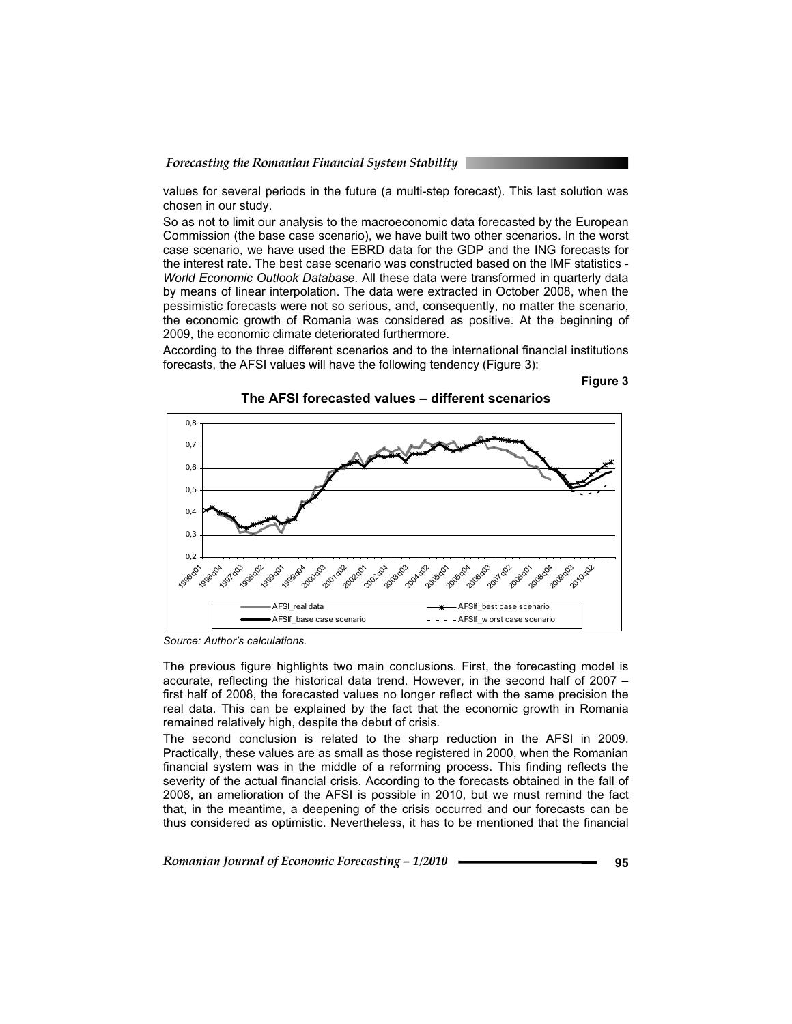values for several periods in the future (a multi-step forecast). This last solution was chosen in our study.

So as not to limit our analysis to the macroeconomic data forecasted by the European Commission (the base case scenario), we have built two other scenarios. In the worst case scenario, we have used the EBRD data for the GDP and the ING forecasts for the interest rate. The best case scenario was constructed based on the IMF statistics - *World Economic Outlook Database*. All these data were transformed in quarterly data by means of linear interpolation. The data were extracted in October 2008, when the pessimistic forecasts were not so serious, and, consequently, no matter the scenario, the economic growth of Romania was considered as positive. At the beginning of 2009, the economic climate deteriorated furthermore.

According to the three different scenarios and to the international financial institutions forecasts, the AFSI values will have the following tendency (Figure 3):





**The AFSI forecasted values – different scenarios** 

*Source: Author's calculations.* 

The previous figure highlights two main conclusions. First, the forecasting model is accurate, reflecting the historical data trend. However, in the second half of 2007 – first half of 2008, the forecasted values no longer reflect with the same precision the real data. This can be explained by the fact that the economic growth in Romania remained relatively high, despite the debut of crisis.

The second conclusion is related to the sharp reduction in the AFSI in 2009. Practically, these values are as small as those registered in 2000, when the Romanian financial system was in the middle of a reforming process. This finding reflects the severity of the actual financial crisis. According to the forecasts obtained in the fall of 2008, an amelioration of the AFSI is possible in 2010, but we must remind the fact that, in the meantime, a deepening of the crisis occurred and our forecasts can be thus considered as optimistic. Nevertheless, it has to be mentioned that the financial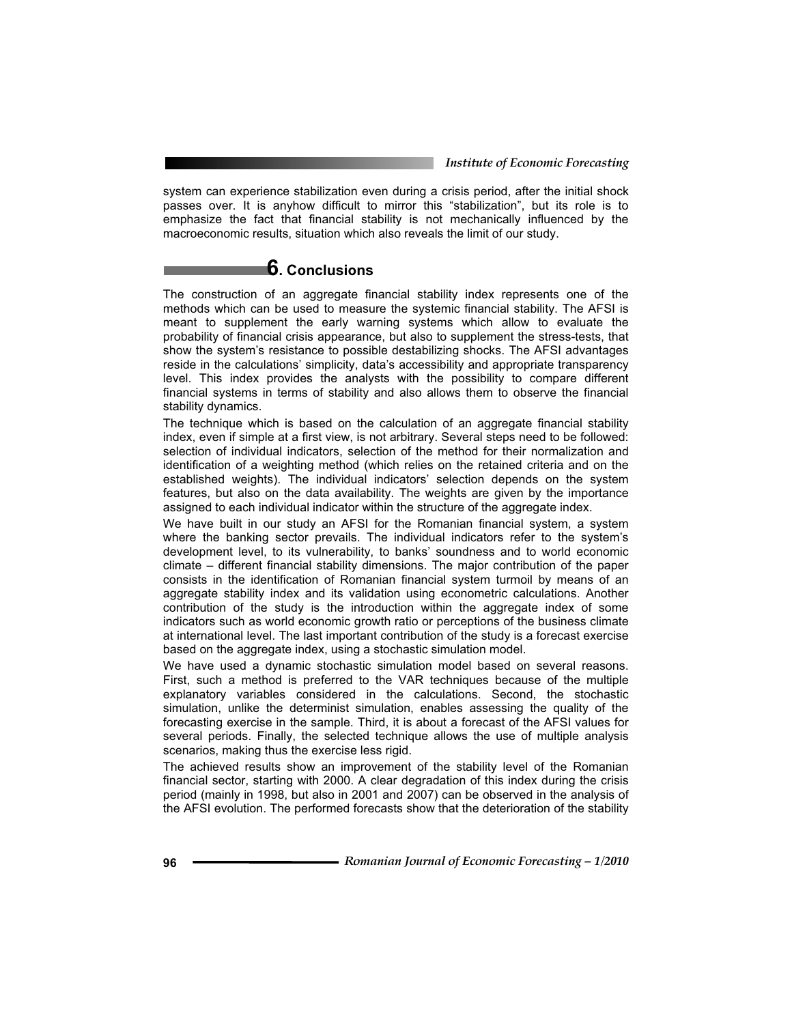system can experience stabilization even during a crisis period, after the initial shock passes over. It is anyhow difficult to mirror this "stabilization", but its role is to emphasize the fact that financial stability is not mechanically influenced by the macroeconomic results, situation which also reveals the limit of our study.

# **6. Conclusions**

The construction of an aggregate financial stability index represents one of the methods which can be used to measure the systemic financial stability. The AFSI is meant to supplement the early warning systems which allow to evaluate the probability of financial crisis appearance, but also to supplement the stress-tests, that show the system's resistance to possible destabilizing shocks. The AFSI advantages reside in the calculations' simplicity, data's accessibility and appropriate transparency level. This index provides the analysts with the possibility to compare different financial systems in terms of stability and also allows them to observe the financial stability dynamics.

The technique which is based on the calculation of an aggregate financial stability index, even if simple at a first view, is not arbitrary. Several steps need to be followed: selection of individual indicators, selection of the method for their normalization and identification of a weighting method (which relies on the retained criteria and on the established weights). The individual indicators' selection depends on the system features, but also on the data availability. The weights are given by the importance assigned to each individual indicator within the structure of the aggregate index.

We have built in our study an AFSI for the Romanian financial system, a system where the banking sector prevails. The individual indicators refer to the system's development level, to its vulnerability, to banks' soundness and to world economic climate – different financial stability dimensions. The major contribution of the paper consists in the identification of Romanian financial system turmoil by means of an aggregate stability index and its validation using econometric calculations. Another contribution of the study is the introduction within the aggregate index of some indicators such as world economic growth ratio or perceptions of the business climate at international level. The last important contribution of the study is a forecast exercise based on the aggregate index, using a stochastic simulation model.

We have used a dynamic stochastic simulation model based on several reasons. First, such a method is preferred to the VAR techniques because of the multiple explanatory variables considered in the calculations. Second, the stochastic simulation, unlike the determinist simulation, enables assessing the quality of the forecasting exercise in the sample. Third, it is about a forecast of the AFSI values for several periods. Finally, the selected technique allows the use of multiple analysis scenarios, making thus the exercise less rigid.

The achieved results show an improvement of the stability level of the Romanian financial sector, starting with 2000. A clear degradation of this index during the crisis period (mainly in 1998, but also in 2001 and 2007) can be observed in the analysis of the AFSI evolution. The performed forecasts show that the deterioration of the stability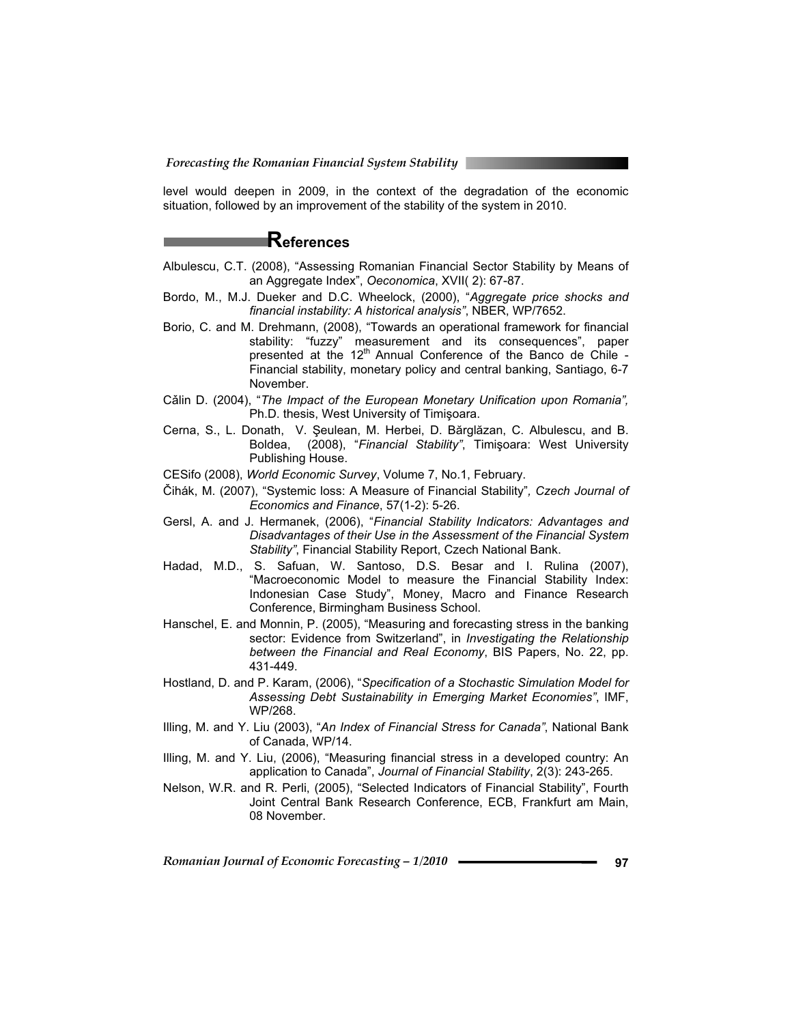level would deepen in 2009, in the context of the degradation of the economic situation, followed by an improvement of the stability of the system in 2010.

## **References**

- Albulescu, C.T. (2008), "Assessing Romanian Financial Sector Stability by Means of an Aggregate Index", *Oeconomica*, XVII( 2): 67-87.
- Bordo, M., M.J. Dueker and D.C. Wheelock, (2000), "*Aggregate price shocks and financial instability: A historical analysis"*, NBER, WP/7652.
- Borio, C. and M. Drehmann, (2008), "Towards an operational framework for financial stability: "fuzzy" measurement and its consequences", paper presented at the  $12<sup>th</sup>$  Annual Conference of the Banco de Chile -Financial stability, monetary policy and central banking, Santiago, 6-7 November.
- Călin D. (2004), "*The Impact of the European Monetary Unification upon Romania*", Ph.D. thesis, West University of Timisoara.
- Cerna, S., L. Donath, V. Șeulean, M. Herbei, D. Bărglăzan, C. Albulescu, and B. Boldea, (2008), "Financial Stability", Timişoara: West University Publishing House.
- CESifo (2008), *World Economic Survey*, Volume 7, No.1, February.
- ýihák, M. (2007), "Systemic loss: A Measure of Financial Stability"*, Czech Journal of Economics and Finance*, 57(1-2): 5-26.
- Gersl, A. and J. Hermanek, (2006), "*Financial Stability Indicators: Advantages and Disadvantages of their Use in the Assessment of the Financial System Stability"*, Financial Stability Report, Czech National Bank.
- Hadad, M.D., S. Safuan, W. Santoso, D.S. Besar and I. Rulina (2007), "Macroeconomic Model to measure the Financial Stability Index: Indonesian Case Study", Money, Macro and Finance Research Conference, Birmingham Business School.
- Hanschel, E. and Monnin, P. (2005), "Measuring and forecasting stress in the banking sector: Evidence from Switzerland", in *Investigating the Relationship between the Financial and Real Economy*, BIS Papers, No. 22, pp. 431-449.
- Hostland, D. and P. Karam, (2006), "*Specification of a Stochastic Simulation Model for Assessing Debt Sustainability in Emerging Market Economies"*, IMF, WP/268.
- Illing, M. and Y. Liu (2003), "*An Index of Financial Stress for Canada"*, National Bank of Canada, WP/14.
- Illing, M. and Y. Liu, (2006), "Measuring financial stress in a developed country: An application to Canada", *Journal of Financial Stability*, 2(3): 243-265.
- Nelson, W.R. and R. Perli, (2005), "Selected Indicators of Financial Stability", Fourth Joint Central Bank Research Conference, ECB, Frankfurt am Main, 08 November.